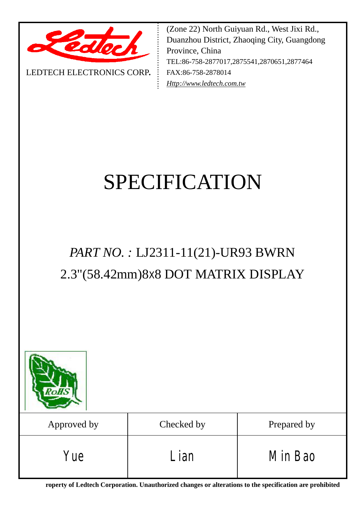

LEDTECH ELECTRONICS CORP**.**

(Zone 22) North Guiyuan Rd., West Jixi Rd., Duanzhou District, Zhaoqing City, Guangdong Province, China TEL:86-758-2877017,2875541,2870651,2877464 FAX:86-758-2878014 *[Http://www.ledtech.com.tw](http://www.ledtech.com.tw)*

# SPECIFICATION

# *PART NO. :* LJ2311-11(21)-UR93 BWRN 2.3"(58.42mm)8X8 DOT MATRIX DISPLAY

| oHS         |            |             |
|-------------|------------|-------------|
| Approved by | Checked by | Prepared by |
| Yue         | Lian       | Min Bao     |

**roperty of Ledtech Corporation. Unauthorized changes or alterations to the specification are prohibited**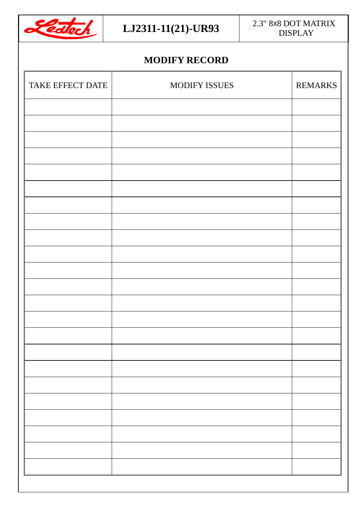

# **MODIFY RECORD**

| TAKE EFFECT DATE | MODIFY ISSUES | <b>REMARKS</b> |
|------------------|---------------|----------------|
|                  |               |                |
|                  |               |                |
|                  |               |                |
|                  |               |                |
|                  |               |                |
|                  |               |                |
|                  |               |                |
|                  |               |                |
|                  |               |                |
|                  |               |                |
|                  |               |                |
|                  |               |                |
|                  |               |                |
|                  |               |                |
|                  |               |                |
|                  |               |                |
|                  |               |                |
|                  |               |                |
|                  |               |                |
|                  |               |                |
|                  |               |                |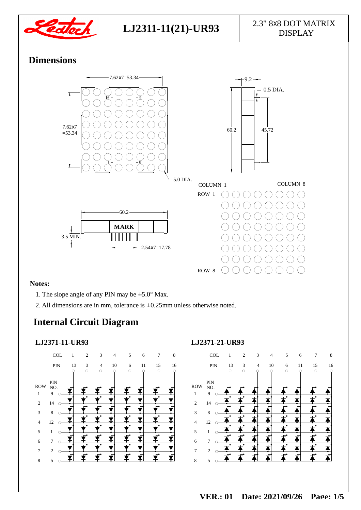

# **Dimensions**



#### **Notes:**

- 1. The slope angle of any PIN may be  $\pm$ 5.0° Max.
- 2. All dimensions are in mm, tolerance is ±0.25mm unless otherwise noted.

# **Internal Circuit Diagram**

#### **LJ2371-11-UR93**



#### **LJ2371-21-UR93**

|                          |                 | COL | 1  | $\overline{c}$ | 3 | 4  | 5 | 6  | 7  | 8       |
|--------------------------|-----------------|-----|----|----------------|---|----|---|----|----|---------|
|                          |                 | PIN | 13 | 3              | 4 | 10 | 6 | 11 | 15 | 16<br>∩ |
| ROW<br>$\mathbf{1}$      | PIN<br>NO.<br>9 |     |    |                |   |    |   |    |    |         |
| $\overline{2}$           | 14              | C   |    |                |   |    |   |    |    |         |
| 3                        | $\,$ 8 $\,$     |     |    |                |   |    |   |    |    |         |
| $\overline{\mathcal{L}}$ | 12              |     |    |                |   |    |   |    |    |         |
| 5                        | $\mathbf{1}$    |     |    |                |   |    |   |    |    |         |
| 6                        | 7               |     |    |                |   |    |   |    |    |         |
| 7                        | $\overline{c}$  |     |    |                |   |    |   |    |    |         |
| 8                        | 5               |     |    |                |   |    |   |    |    |         |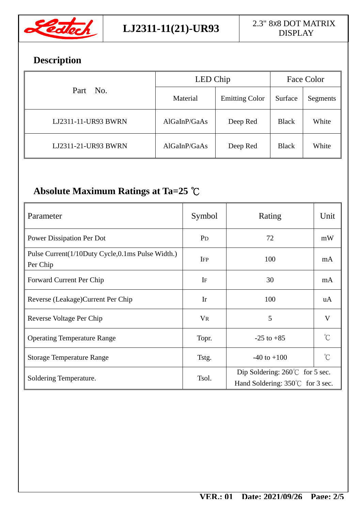

# **Description**

|                     | LED Chip     | Face Color            |              |          |
|---------------------|--------------|-----------------------|--------------|----------|
| Part No.            | Material     | <b>Emitting Color</b> | Surface      | Segments |
| LJ2311-11-UR93 BWRN | AlGalnP/GaAs | Deep Red              | <b>Black</b> | White    |
| LJ2311-21-UR93 BWRN | AlGaInP/GaAs | Deep Red              | <b>Black</b> | White    |

# **Absolute Maximum Ratings at Ta=25 ℃**

| Parameter                                                    | Symbol         | Rating                                                                              | Unit                |  |
|--------------------------------------------------------------|----------------|-------------------------------------------------------------------------------------|---------------------|--|
| Power Dissipation Per Dot                                    | P <sub>D</sub> | 72                                                                                  | mW                  |  |
| Pulse Current(1/10Duty Cycle,0.1ms Pulse Width.)<br>Per Chip | <b>IFP</b>     | 100                                                                                 | mA                  |  |
| Forward Current Per Chip                                     | IF             | 30                                                                                  | mA                  |  |
| Reverse (Leakage) Current Per Chip                           | Ir             | 100                                                                                 | uA                  |  |
| Reverse Voltage Per Chip                                     | <b>VR</b>      | 5                                                                                   | $\mathbf{V}$        |  |
| <b>Operating Temperature Range</b>                           | Topr.          | $-25$ to $+85$                                                                      | $^{\circ}C$         |  |
| <b>Storage Temperature Range</b>                             | Tstg.          | $-40$ to $+100$                                                                     | $\int_{0}^{\infty}$ |  |
| Soldering Temperature.                                       | Tsol.          | Dip Soldering: $260^{\circ}$ for 5 sec.<br>Hand Soldering: $350^{\circ}$ for 3 sec. |                     |  |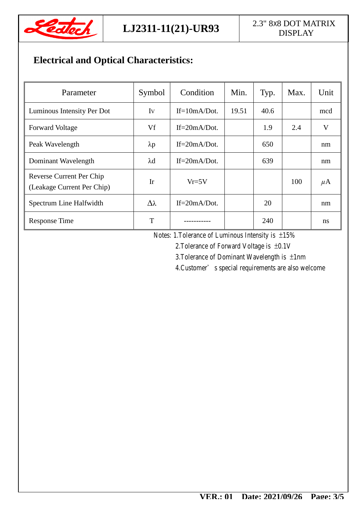

## **LJ2311-11(21)-UR93**  $\begin{array}{|c|c|} \hline 2.3" 8x8 DOT MATRIX \hline & \text{DISP AY} \end{array}$ DISPLAY

# **Electrical and Optical Characteristics:**

| Parameter                                                     | Symbol          | Condition        | Min.  | Typ. | Max. | Unit          |
|---------------------------------------------------------------|-----------------|------------------|-------|------|------|---------------|
| Luminous Intensity Per Dot                                    | Iv              | $If=10mA/Dot.$   | 19.51 | 40.6 |      | mcd           |
| <b>Forward Voltage</b>                                        | Vf              | $If = 20mA/Dot.$ |       | 1.9  | 2.4  | V             |
| Peak Wavelength                                               | $\lambda p$     | $If = 20mA/Dot.$ |       | 650  |      | nm            |
| Dominant Wavelength                                           | $\lambda$ d     | $If = 20mA/Dot.$ |       | 639  |      | nm            |
| <b>Reverse Current Per Chip</b><br>(Leakage Current Per Chip) | Ir              | $Vr = 5V$        |       |      | 100  | $\mu$ A       |
| Spectrum Line Halfwidth                                       | $\Delta\lambda$ | $If = 20mA/Dot.$ |       | 20   |      | nm            |
| <b>Response Time</b>                                          | T               |                  |       | 240  |      | <sub>ns</sub> |

Notes: 1.Tolerance of Luminous Intensity is ±15%

2.Tolerance of Forward Voltage is ±0.1V

3.Tolerance of Dominant Wavelength is ±1nm

4.Customer's special requirements are also welcome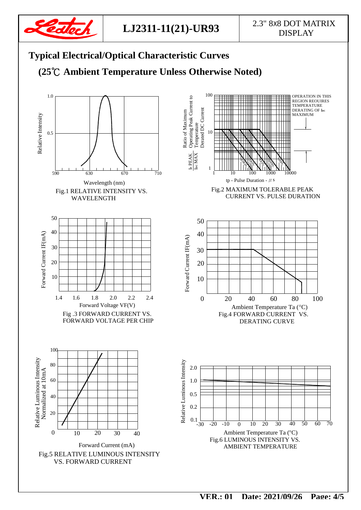